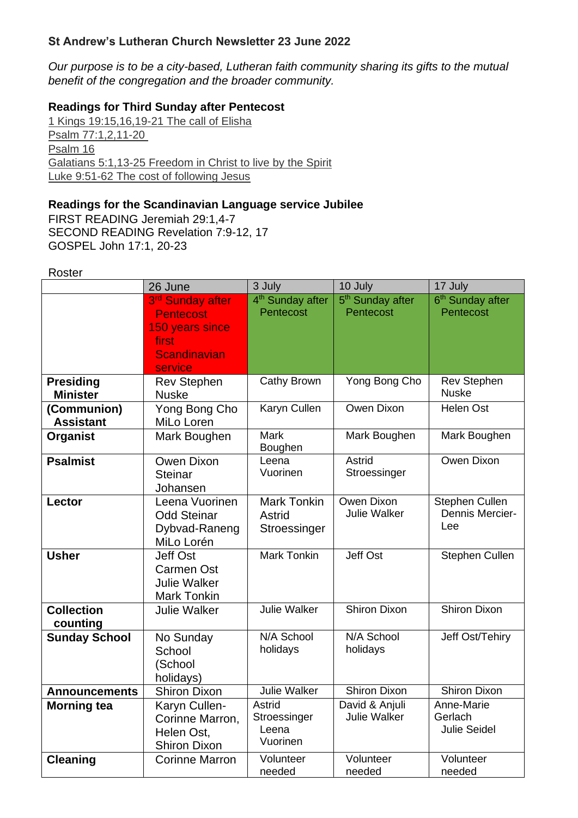### **St Andrew's Lutheran Church Newsletter 23 June 2022**

*Our purpose is to be a city-based, Lutheran faith community sharing its gifts to the mutual benefit of the congregation and the broader community.*

### **Readings for Third Sunday after Pentecost**

[1 Kings 19:15,16,19-21 The call of Elisha](https://www.biblegateway.com/passage/?search=1+Kings+19%3A15%2C16%2C19-21&version=NIVUK) [Psalm 77:1,2,11-20](https://www.biblegateway.com/passage/?search=Psalm+77%3A1%2C2%2C11-20+&version=NIVUK) [Psalm 16](https://www.biblegateway.com/passage/?search=Psalm+16&version=NIVUK) [Galatians 5:1,13-25 Freedom in Christ to live by the Spirit](https://www.biblegateway.com/passage/?search=Galatians+5%3A1%2C13-25&version=NIVUK) [Luke 9:51-62 The cost of following Jesus](https://www.biblegateway.com/passage/?search=Luke+9%3A51-62&version=NIVUK)

### **Readings for the Scandinavian Language service Jubilee**

FIRST READING Jeremiah 29:1,4-7 SECOND READING Revelation 7:9-12, 17 GOSPEL John 17:1, 20-23

#### Roster

|                                     | 26 June                                                                           | 3 July                                       | 10 July                                   | 17 July                                      |
|-------------------------------------|-----------------------------------------------------------------------------------|----------------------------------------------|-------------------------------------------|----------------------------------------------|
|                                     | 3rd Sunday after<br><b>Pentecost</b><br>150 years since                           | 4 <sup>th</sup> Sunday after<br>Pentecost    | 5 <sup>th</sup> Sunday after<br>Pentecost | 6 <sup>th</sup> Sunday after<br>Pentecost    |
|                                     | first<br><b>Scandinavian</b><br>service                                           |                                              |                                           |                                              |
| <b>Presiding</b><br><b>Minister</b> | <b>Rev Stephen</b><br><b>Nuske</b>                                                | Cathy Brown                                  | Yong Bong Cho                             | <b>Rev Stephen</b><br><b>Nuske</b>           |
| (Communion)<br><b>Assistant</b>     | Yong Bong Cho<br>MiLo Loren                                                       | <b>Karyn Cullen</b>                          | Owen Dixon                                | <b>Helen Ost</b>                             |
| <b>Organist</b>                     | Mark Boughen                                                                      | <b>Mark</b><br>Boughen                       | Mark Boughen                              | Mark Boughen                                 |
| <b>Psalmist</b>                     | Owen Dixon<br><b>Steinar</b><br>Johansen                                          | Leena<br>Vuorinen                            | Astrid<br>Stroessinger                    | Owen Dixon                                   |
| Lector                              | Leena Vuorinen<br><b>Odd Steinar</b><br>Dybvad-Raneng<br>MiLo Lorén               | <b>Mark Tonkin</b><br>Astrid<br>Stroessinger | Owen Dixon<br><b>Julie Walker</b>         | Stephen Cullen<br>Dennis Mercier-<br>Lee     |
| <b>Usher</b>                        | <b>Jeff Ost</b><br><b>Carmen Ost</b><br><b>Julie Walker</b><br><b>Mark Tonkin</b> | <b>Mark Tonkin</b>                           | <b>Jeff Ost</b>                           | Stephen Cullen                               |
| <b>Collection</b><br>counting       | <b>Julie Walker</b>                                                               | <b>Julie Walker</b>                          | <b>Shiron Dixon</b>                       | <b>Shiron Dixon</b>                          |
| <b>Sunday School</b>                | No Sunday<br>School<br>(School<br>holidays)                                       | N/A School<br>holidays                       | N/A School<br>holidays                    | Jeff Ost/Tehiry                              |
| <b>Announcements</b>                | <b>Shiron Dixon</b>                                                               | Julie Walker                                 | <b>Shiron Dixon</b>                       | <b>Shiron Dixon</b>                          |
| <b>Morning tea</b>                  | Karyn Cullen-<br>Corinne Marron,<br>Helen Ost,<br><b>Shiron Dixon</b>             | Astrid<br>Stroessinger<br>Leena<br>Vuorinen  | David & Anjuli<br><b>Julie Walker</b>     | Anne-Marie<br>Gerlach<br><b>Julie Seidel</b> |
| <b>Cleaning</b>                     | <b>Corinne Marron</b>                                                             | Volunteer<br>needed                          | Volunteer<br>needed                       | Volunteer<br>needed                          |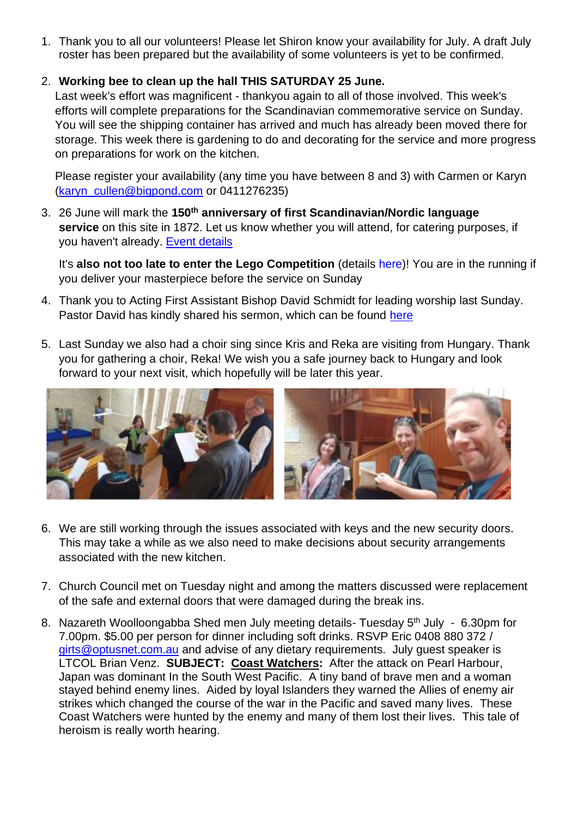1. Thank you to all our volunteers! Please let Shiron know your availability for July. A draft July roster has been prepared but the availability of some volunteers is yet to be confirmed.

## 2. **Working bee to clean up the hall THIS SATURDAY 25 June.**

Last week's effort was magnificent - thankyou again to all of those involved. This week's efforts will complete preparations for the Scandinavian commemorative service on Sunday. You will see the shipping container has arrived and much has already been moved there for storage. This week there is gardening to do and decorating for the service and more progress on preparations for work on the kitchen.

Please register your availability (any time you have between 8 and 3) with Carmen or Karyn [\(karyn\\_cullen@bigpond.com](mailto:karyn_cullen@bigpond.com) or 0411276235)

3. 26 June will mark the **150th anniversary of first Scandinavian/Nordic language service** on this site in 1872. Let us know whether you will attend, for catering purposes, if you haven't already. [Event details](https://standrews-brisbane.lutheran.org.au/event/150th-anniversary-of-first-scandinavian-nordic-language-service-on-this-site-in-1872/)

It's **also not too late to enter the Lego Competition** (details here)! You are in the running if you deliver your masterpiece before the service on Sunday

- 4. Thank you to Acting First Assistant Bishop David Schmidt for leading worship last Sunday. Pastor David has kindly shared his sermon, which can be found [here](https://standrews-brisbane.lutheran.org.au/wp-content/uploads/sites/175/2022/06/Sermon_DSchmidt_One-Team.pdf)
- 5. Last Sunday we also had a choir sing since Kris and Reka are visiting from Hungary. Thank you for gathering a choir, Reka! We wish you a safe journey back to Hungary and look forward to your next visit, which hopefully will be later this year.



- 6. We are still working through the issues associated with keys and the new security doors. This may take a while as we also need to make decisions about security arrangements associated with the new kitchen.
- 7. Church Council met on Tuesday night and among the matters discussed were replacement of the safe and external doors that were damaged during the break ins.
- 8. Nazareth Woolloongabba Shed men July meeting details- Tuesday 5<sup>th</sup> July 6.30pm for 7.00pm. \$5.00 per person for dinner including soft drinks. RSVP Eric 0408 880 372 / [girts@optusnet.com.au](mailto:girts@optusnet.com.au) and advise of any dietary requirements. July guest speaker is LTCOL Brian Venz. **SUBJECT: Coast Watchers:** After the attack on Pearl Harbour, Japan was dominant In the South West Pacific. A tiny band of brave men and a woman stayed behind enemy lines. Aided by loyal Islanders they warned the Allies of enemy air strikes which changed the course of the war in the Pacific and saved many lives. These Coast Watchers were hunted by the enemy and many of them lost their lives. This tale of heroism is really worth hearing.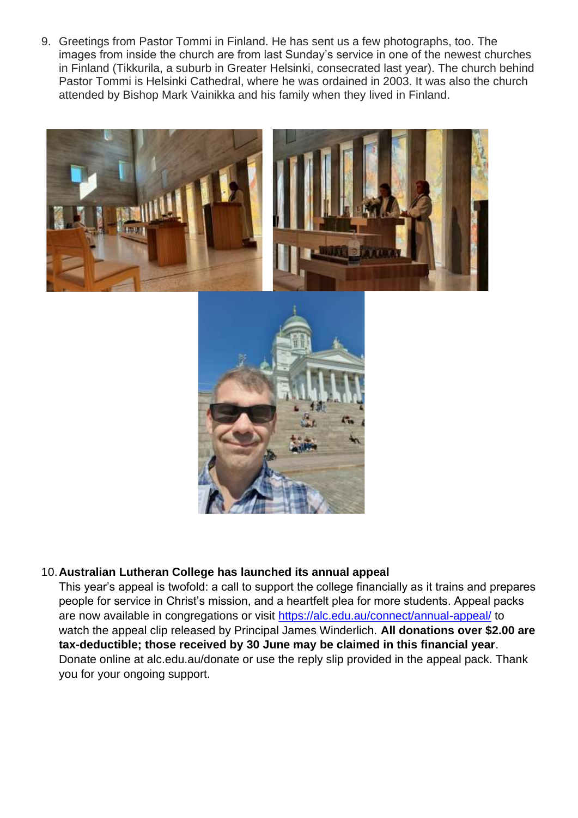9. Greetings from Pastor Tommi in Finland. He has sent us a few photographs, too. The images from inside the church are from last Sunday's service in one of the newest churches in Finland (Tikkurila, a suburb in Greater Helsinki, consecrated last year). The church behind Pastor Tommi is Helsinki Cathedral, where he was ordained in 2003. It was also the church attended by Bishop Mark Vainikka and his family when they lived in Finland.





### 10.**Australian Lutheran College has launched its annual appeal**

This year's appeal is twofold: a call to support the college financially as it trains and prepares people for service in Christ's mission, and a heartfelt plea for more students. Appeal packs are now available in congregations or visit<https://alc.edu.au/connect/annual-appeal/> to watch the appeal clip released by Principal James Winderlich. **All donations over \$2.00 are tax-deductible; those received by 30 June may be claimed in this financial year**. Donate online at alc.edu.au/donate or use the reply slip provided in the appeal pack. Thank you for your ongoing support.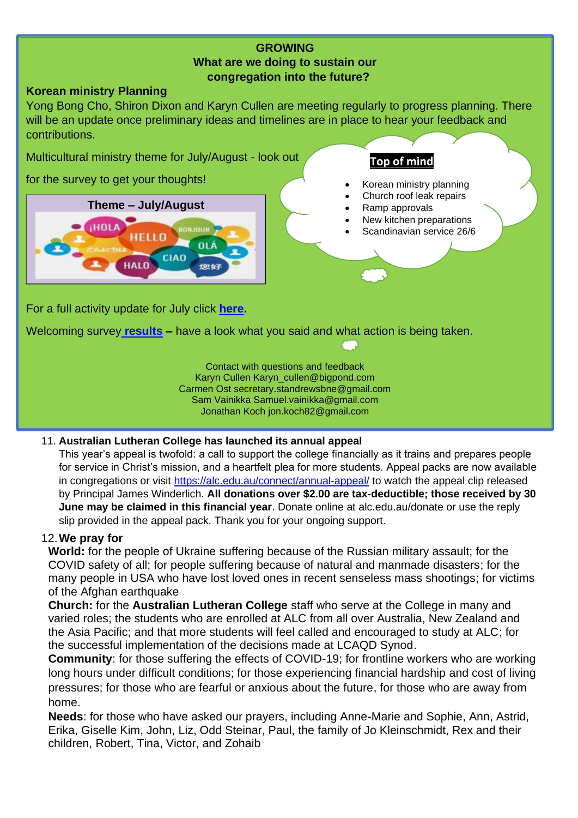### **GROWING What are we doing to sustain our congregation into the future?**

### **Korean ministry Planning**

Yong Bong Cho, Shiron Dixon and Karyn Cullen are meeting regularly to progress planning. There will be an update once preliminary ideas and timelines are in place to hear your feedback and contributions.

**Top of mind**

• Ramp approvals

• Korean ministry planning • Church roof leak repairs

New kitchen preparations • Scandinavian service 26/6

Multicultural ministry theme for July/August - look out

for the survey to get your thoughts!



# For a full activity update for July click **[here.](https://standrews-brisbane.lutheran.org.au/wp-content/uploads/sites/175/2022/06/Reporting-on-current-activities-4.pdf)**

Welcoming survey **[results](https://standrews-brisbane.lutheran.org.au/wp-content/uploads/sites/175/2022/06/Survey-1-results.pdf) –** have a look what you said and what action is being taken.

Contact with questions and feedback Karyn Cullen Karyn\_cullen@bigpond.com Carmen Ost secretary.standrewsbne@gmail.com Sam Vainikka Samuel.vainikka@gmail.com Jonathan Koch [jon.koch82@gmail.com](mailto:jon.koch82@gmail.com)

### 11. **Australian Lutheran College has launched its annual appeal**

This year's appeal is twofold: a call to support the college financially as it trains and prepares people for service in Christ's mission, and a heartfelt plea for more students. Appeal packs are now available in congregations or visit<https://alc.edu.au/connect/annual-appeal/> to watch the appeal clip released by Principal James Winderlich. **All donations over \$2.00 are tax-deductible; those received by 30 June may be claimed in this financial year**. Donate online at alc.edu.au/donate or use the reply slip provided in the appeal pack. Thank you for your ongoing support.

## 12.**We pray for**

**World:** for the people of Ukraine suffering because of the Russian military assault; for the COVID safety of all; for people suffering because of natural and manmade disasters; for the many people in USA who have lost loved ones in recent senseless mass shootings; for victims of the Afghan earthquake

**Church:** for the **Australian Lutheran College** staff who serve at the College in many and varied roles; the students who are enrolled at ALC from all over Australia, New Zealand and the Asia Pacific; and that more students will feel called and encouraged to study at ALC; for the successful implementation of the decisions made at LCAQD Synod.

**Community**: for those suffering the effects of COVID-19; for frontline workers who are working long hours under difficult conditions; for those experiencing financial hardship and cost of living pressures; for those who are fearful or anxious about the future, for those who are away from home.

**Needs**: for those who have asked our prayers, including Anne-Marie and Sophie, Ann, Astrid, Erika, Giselle Kim, John, Liz, Odd Steinar, Paul, the family of Jo Kleinschmidt, Rex and their children, Robert, Tina, Victor, and Zohaib